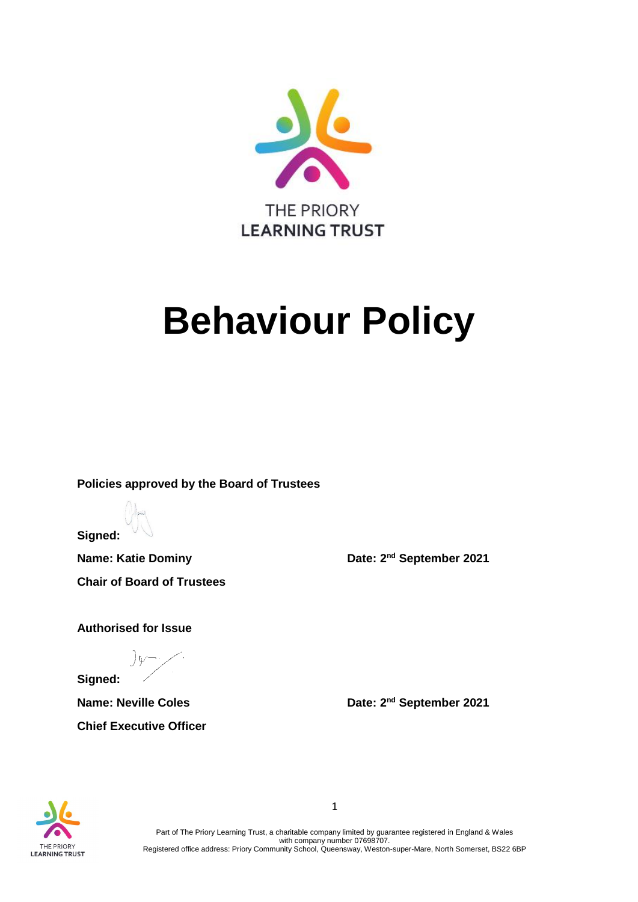

# **Behaviour Policy**

**Policies approved by the Board of Trustees**

**Signed:**

**Name: Katie Dominy Date: 2<sup>nd</sup> September 2021 Chair of Board of Trustees** 

**Authorised for Issue**

**Chief Executive Officer**

**Signed:** 

**Name: Neville Coles Date: 2<sup>nd</sup> September 2021** 



Part of The Priory Learning Trust, a charitable company limited by guarantee registered in England & Wales with company number 07698707. Registered office address: Priory Community School, Queensway, Weston-super-Mare, North Somerset, BS22 6BP

1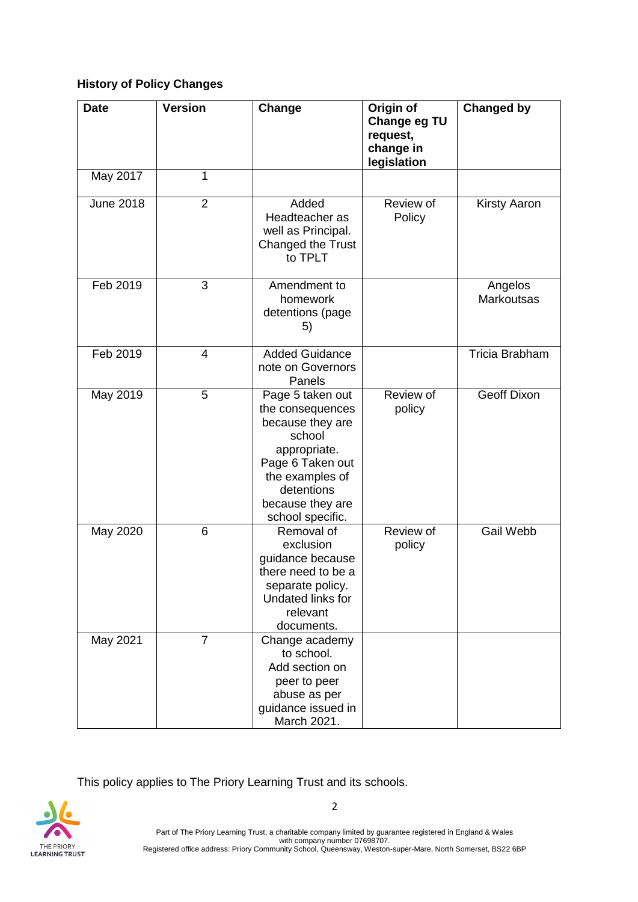## **History of Policy Changes**

| <b>Date</b>      | <b>Version</b> | Change                                                                                                                                                                          | Origin of<br>Change eg TU<br>request,<br>change in<br>legislation | <b>Changed by</b>            |
|------------------|----------------|---------------------------------------------------------------------------------------------------------------------------------------------------------------------------------|-------------------------------------------------------------------|------------------------------|
| May 2017         | 1              |                                                                                                                                                                                 |                                                                   |                              |
| <b>June 2018</b> | $\overline{2}$ | Added<br>Headteacher as<br>well as Principal.<br>Changed the Trust<br>to TPLT                                                                                                   | Review of<br>Policy                                               | <b>Kirsty Aaron</b>          |
| Feb 2019         | 3              | Amendment to<br>homework<br>detentions (page<br>5)                                                                                                                              |                                                                   | Angelos<br><b>Markoutsas</b> |
| Feb 2019         | $\overline{4}$ | <b>Added Guidance</b><br>note on Governors<br>Panels                                                                                                                            |                                                                   | Tricia Brabham               |
| May 2019         | 5              | Page 5 taken out<br>the consequences<br>because they are<br>school<br>appropriate.<br>Page 6 Taken out<br>the examples of<br>detentions<br>because they are<br>school specific. | Review of<br>policy                                               | <b>Geoff Dixon</b>           |
| May 2020         | 6              | Removal of<br>exclusion<br>guidance because<br>there need to be a<br>separate policy.<br>Undated links for<br>relevant<br>documents.                                            | Review of<br>policy                                               | Gail Webb                    |
| May 2021         | 7              | Change academy<br>to school.<br>Add section on<br>peer to peer<br>abuse as per<br>guidance issued in<br>March 2021.                                                             |                                                                   |                              |

This policy applies to The Priory Learning Trust and its schools.

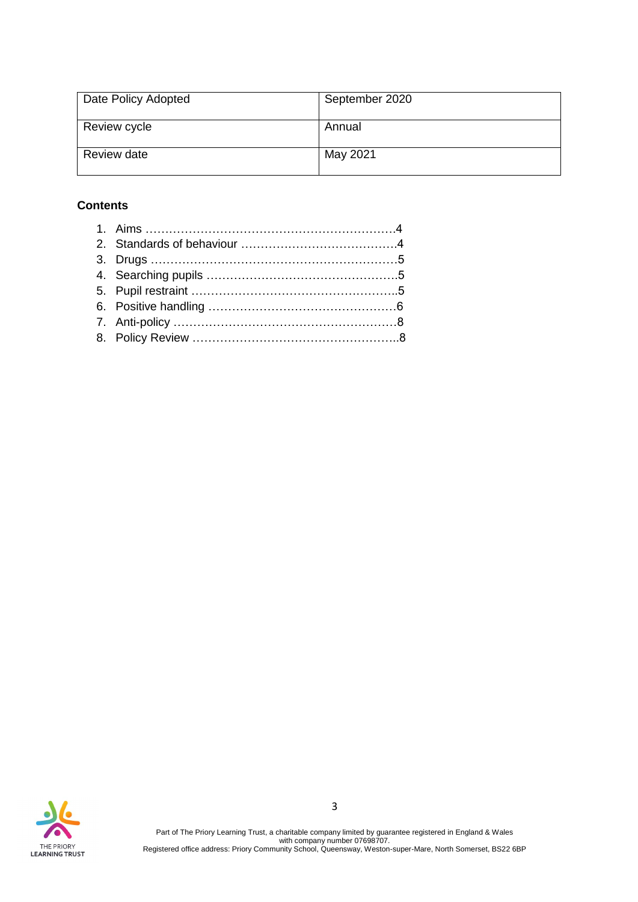| Date Policy Adopted | September 2020 |
|---------------------|----------------|
| Review cycle        | Annual         |
| Review date         | May 2021       |

# **Contents**

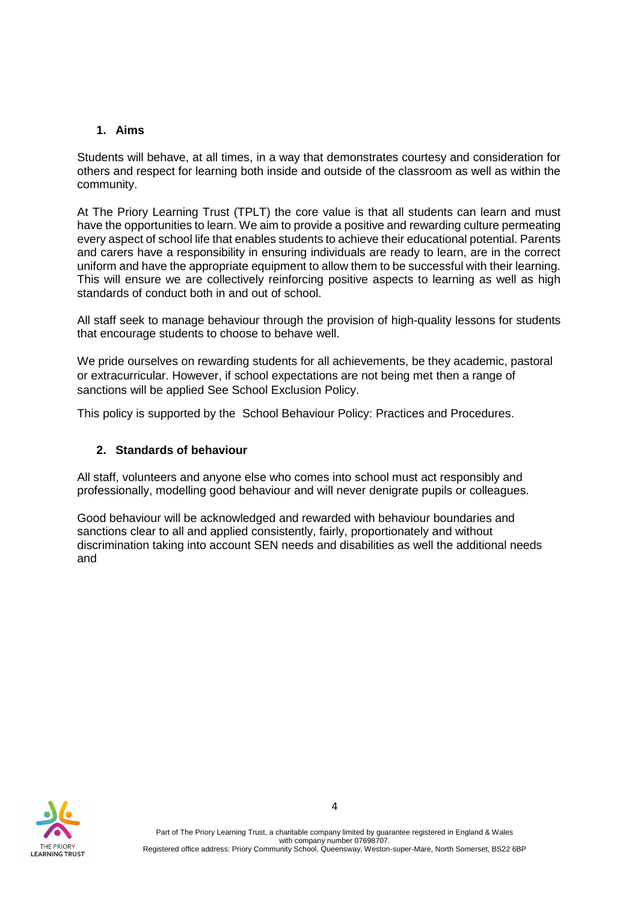#### **1. Aims**

Students will behave, at all times, in a way that demonstrates courtesy and consideration for others and respect for learning both inside and outside of the classroom as well as within the community.

At The Priory Learning Trust (TPLT) the core value is that all students can learn and must have the opportunities to learn. We aim to provide a positive and rewarding culture permeating every aspect of school life that enables students to achieve their educational potential. Parents and carers have a responsibility in ensuring individuals are ready to learn, are in the correct uniform and have the appropriate equipment to allow them to be successful with their learning. This will ensure we are collectively reinforcing positive aspects to learning as well as high standards of conduct both in and out of school.

All staff seek to manage behaviour through the provision of high-quality lessons for students that encourage students to choose to behave well.

We pride ourselves on rewarding students for all achievements, be they academic, pastoral or extracurricular. However, if school expectations are not being met then a range of sanctions will be applied See School Exclusion Policy.

This policy is supported by the School Behaviour Policy: Practices and Procedures.

#### **2. Standards of behaviour**

All staff, volunteers and anyone else who comes into school must act responsibly and professionally, modelling good behaviour and will never denigrate pupils or colleagues.

Good behaviour will be acknowledged and rewarded with behaviour boundaries and sanctions clear to all and applied consistently, fairly, proportionately and without discrimination taking into account SEN needs and disabilities as well the additional needs and

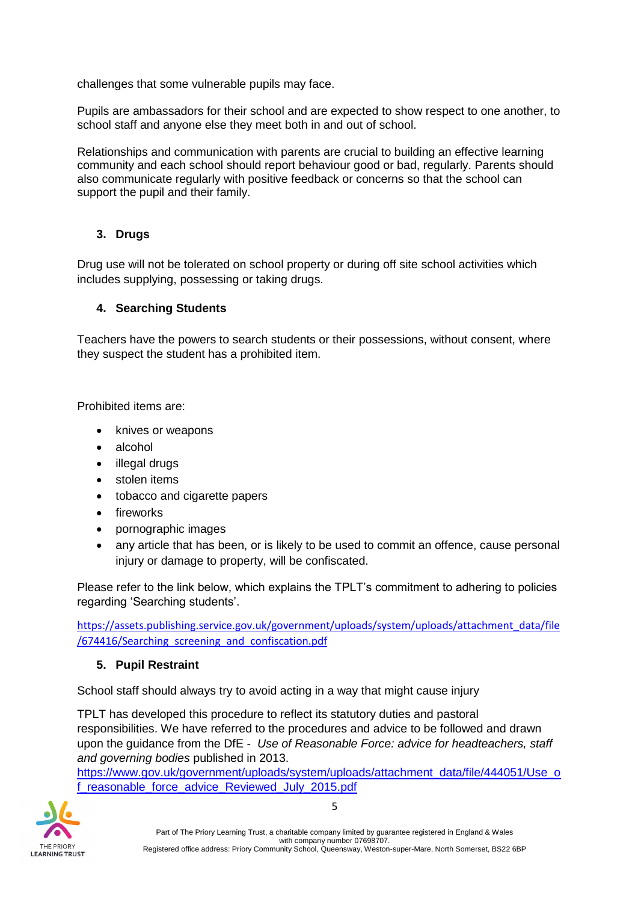challenges that some vulnerable pupils may face.

Pupils are ambassadors for their school and are expected to show respect to one another, to school staff and anyone else they meet both in and out of school.

Relationships and communication with parents are crucial to building an effective learning community and each school should report behaviour good or bad, regularly. Parents should also communicate regularly with positive feedback or concerns so that the school can support the pupil and their family.

## **3. Drugs**

Drug use will not be tolerated on school property or during off site school activities which includes supplying, possessing or taking drugs.

## **4. Searching Students**

Teachers have the powers to search students or their possessions, without consent, where they suspect the student has a prohibited item.

Prohibited items are:

- knives or weapons
- alcohol
- illegal drugs
- stolen items
- tobacco and cigarette papers
- fireworks
- pornographic images
- any article that has been, or is likely to be used to commit an offence, cause personal injury or damage to property, will be confiscated.

Please refer to the link below, which explains the TPLT's commitment to adhering to policies regarding 'Searching students'.

[https://assets.publishing.service.gov.uk/government/uploads/system/uploads/attachment\\_data/file](https://assets.publishing.service.gov.uk/government/uploads/system/uploads/attachment_data/file/674416/Searching_screening_and_confiscation.pdf) [/674416/Searching\\_screening\\_and\\_confiscation.pdf](https://assets.publishing.service.gov.uk/government/uploads/system/uploads/attachment_data/file/674416/Searching_screening_and_confiscation.pdf)

## **5. Pupil Restraint**

School staff should always try to avoid acting in a way that might cause injury

TPLT has developed this procedure to reflect its statutory duties and pastoral responsibilities. We have referred to the procedures and advice to be followed and drawn upon the guidance from the DfE - *Use of Reasonable Force: advice for headteachers, staff and governing bodies* published in 2013.

[https://www.gov.uk/government/uploads/system/uploads/attachment\\_data/file/444051/Use\\_o](https://www.gov.uk/government/uploads/system/uploads/attachment_data/file/444051/Use_of_reasonable_force_advice_Reviewed_July_2015.pdf) [f\\_reasonable\\_force\\_advice\\_Reviewed\\_July\\_2015.pdf](https://www.gov.uk/government/uploads/system/uploads/attachment_data/file/444051/Use_of_reasonable_force_advice_Reviewed_July_2015.pdf)



Part of The Priory Learning Trust, a charitable company limited by guarantee registered in England & Wales with company number 07698707. Registered office address: Priory Community School, Queensway, Weston-super-Mare, North Somerset, BS22 6BP

5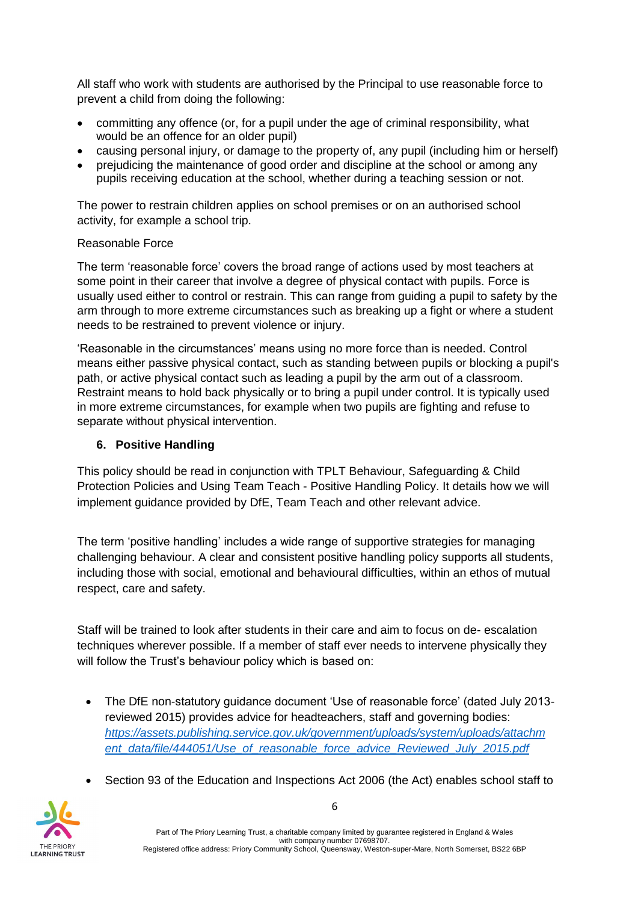All staff who work with students are authorised by the Principal to use reasonable force to prevent a child from doing the following:

- committing any offence (or, for a pupil under the age of criminal responsibility, what would be an offence for an older pupil)
- causing personal injury, or damage to the property of, any pupil (including him or herself)
- prejudicing the maintenance of good order and discipline at the school or among any pupils receiving education at the school, whether during a teaching session or not.

The power to restrain children applies on school premises or on an authorised school activity, for example a school trip.

#### Reasonable Force

The term 'reasonable force' covers the broad range of actions used by most teachers at some point in their career that involve a degree of physical contact with pupils. Force is usually used either to control or restrain. This can range from guiding a pupil to safety by the arm through to more extreme circumstances such as breaking up a fight or where a student needs to be restrained to prevent violence or injury.

'Reasonable in the circumstances' means using no more force than is needed. Control means either passive physical contact, such as standing between pupils or blocking a pupil's path, or active physical contact such as leading a pupil by the arm out of a classroom. Restraint means to hold back physically or to bring a pupil under control. It is typically used in more extreme circumstances, for example when two pupils are fighting and refuse to separate without physical intervention.

## **6. Positive Handling**

This policy should be read in conjunction with TPLT Behaviour, Safeguarding & Child Protection Policies and Using Team Teach - Positive Handling Policy. It details how we will implement guidance provided by DfE, Team Teach and other relevant advice.

The term 'positive handling' includes a wide range of supportive strategies for managing challenging behaviour. A clear and consistent positive handling policy supports all students, including those with social, emotional and behavioural difficulties, within an ethos of mutual respect, care and safety.

Staff will be trained to look after students in their care and aim to focus on de- escalation techniques wherever possible. If a member of staff ever needs to intervene physically they will follow the Trust's behaviour policy which is based on:

- The DfE non-statutory guidance document 'Use of reasonable force' (dated July 2013 reviewed 2015) provides advice for headteachers, staff and governing bodies: *[https://assets.publishing.service.gov.uk/government/uploads/system/uploads/attachm](https://assets.publishing.service.gov.uk/government/uploads/system/uploads/attachment_data/file/444051/Use_of_reasonable_force_advice_Reviewed_July_2015.pdf)* [ent\\_data/file/444051/Use\\_of\\_reasonable\\_force\\_advice\\_Reviewed\\_July\\_2015.pdf](https://assets.publishing.service.gov.uk/government/uploads/system/uploads/attachment_data/file/444051/Use_of_reasonable_force_advice_Reviewed_July_2015.pdf)
- Section 93 of the Education and Inspections Act 2006 (the Act) enables school staff to

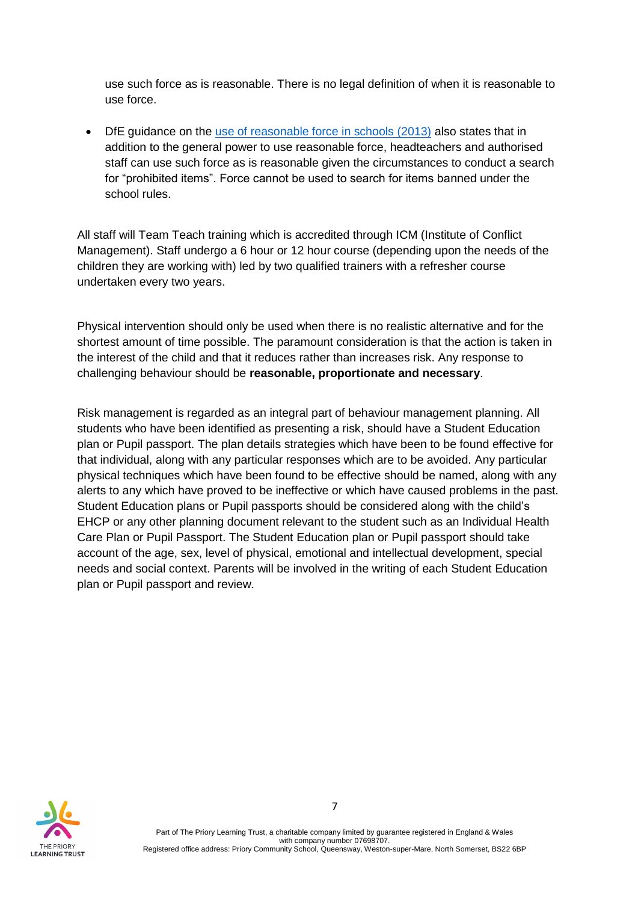use such force as is reasonable. There is no legal definition of when it is reasonable to use force.

• DfE guidance on the [use of reasonable force in schools \(2013\)](https://www.gov.uk/government/publications/use-of-reasonable-force-in-schools) also states that in addition to the general power to use reasonable force, headteachers and authorised staff can use such force as is reasonable given the circumstances to conduct a search for "prohibited items". Force cannot be used to search for items banned under the school rules.

All staff will Team Teach training which is accredited through ICM (Institute of Conflict Management). Staff undergo a 6 hour or 12 hour course (depending upon the needs of the children they are working with) led by two qualified trainers with a refresher course undertaken every two years.

Physical intervention should only be used when there is no realistic alternative and for the shortest amount of time possible. The paramount consideration is that the action is taken in the interest of the child and that it reduces rather than increases risk. Any response to challenging behaviour should be **reasonable, proportionate and necessary**.

Risk management is regarded as an integral part of behaviour management planning. All students who have been identified as presenting a risk, should have a Student Education plan or Pupil passport. The plan details strategies which have been to be found effective for that individual, along with any particular responses which are to be avoided. Any particular physical techniques which have been found to be effective should be named, along with any alerts to any which have proved to be ineffective or which have caused problems in the past. Student Education plans or Pupil passports should be considered along with the child's EHCP or any other planning document relevant to the student such as an Individual Health Care Plan or Pupil Passport. The Student Education plan or Pupil passport should take account of the age, sex, level of physical, emotional and intellectual development, special needs and social context. Parents will be involved in the writing of each Student Education plan or Pupil passport and review.